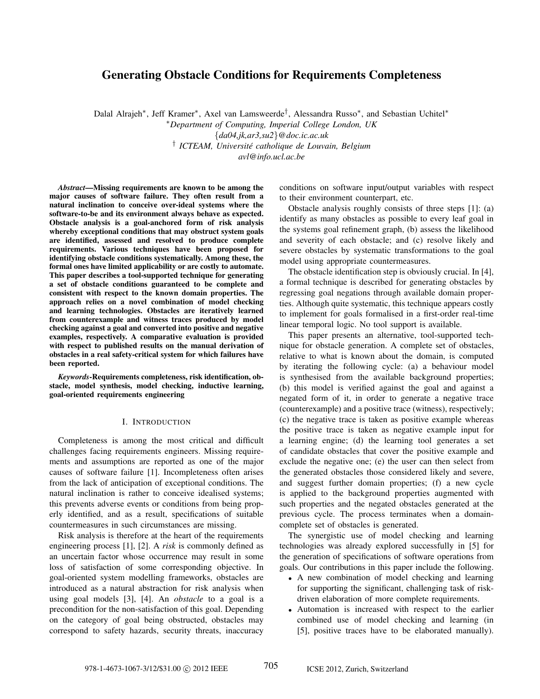# Generating Obstacle Conditions for Requirements Completeness

Dalal Alrajeh∗ , Jeff Kramer∗ , Axel van Lamsweerde† , Alessandra Russo∗ , and Sebastian Uchitel∗ ∗*Department of Computing, Imperial College London, UK* {*da04,jk,ar3,su2*}*@doc.ic.ac.uk* † *ICTEAM, Universite catholique de Louvain, Belgium ´ avl@info.ucl.ac.be*

*Abstract*—Missing requirements are known to be among the major causes of software failure. They often result from a natural inclination to conceive over-ideal systems where the software-to-be and its environment always behave as expected. Obstacle analysis is a goal-anchored form of risk analysis whereby exceptional conditions that may obstruct system goals are identified, assessed and resolved to produce complete requirements. Various techniques have been proposed for identifying obstacle conditions systematically. Among these, the formal ones have limited applicability or are costly to automate. This paper describes a tool-supported technique for generating a set of obstacle conditions guaranteed to be complete and consistent with respect to the known domain properties. The approach relies on a novel combination of model checking and learning technologies. Obstacles are iteratively learned from counterexample and witness traces produced by model checking against a goal and converted into positive and negative examples, respectively. A comparative evaluation is provided with respect to published results on the manual derivation of obstacles in a real safety-critical system for which failures have been reported.

*Keywords*-Requirements completeness, risk identification, obstacle, model synthesis, model checking, inductive learning, goal-oriented requirements engineering

## I. INTRODUCTION

Completeness is among the most critical and difficult challenges facing requirements engineers. Missing requirements and assumptions are reported as one of the major causes of software failure [1]. Incompleteness often arises from the lack of anticipation of exceptional conditions. The natural inclination is rather to conceive idealised systems; this prevents adverse events or conditions from being properly identified, and as a result, specifications of suitable countermeasures in such circumstances are missing.

Risk analysis is therefore at the heart of the requirements engineering process [1], [2]. A *risk* is commonly defined as an uncertain factor whose occurrence may result in some loss of satisfaction of some corresponding objective. In goal-oriented system modelling frameworks, obstacles are introduced as a natural abstraction for risk analysis when using goal models [3], [4]. An *obstacle* to a goal is a precondition for the non-satisfaction of this goal. Depending on the category of goal being obstructed, obstacles may correspond to safety hazards, security threats, inaccuracy conditions on software input/output variables with respect to their environment counterpart, etc.

Obstacle analysis roughly consists of three steps [1]: (a) identify as many obstacles as possible to every leaf goal in the systems goal refinement graph, (b) assess the likelihood and severity of each obstacle; and (c) resolve likely and severe obstacles by systematic transformations to the goal model using appropriate countermeasures.

The obstacle identification step is obviously crucial. In [4], a formal technique is described for generating obstacles by regressing goal negations through available domain properties. Although quite systematic, this technique appears costly to implement for goals formalised in a first-order real-time linear temporal logic. No tool support is available.

This paper presents an alternative, tool-supported technique for obstacle generation. A complete set of obstacles, relative to what is known about the domain, is computed by iterating the following cycle: (a) a behaviour model is synthesised from the available background properties; (b) this model is verified against the goal and against a negated form of it, in order to generate a negative trace (counterexample) and a positive trace (witness), respectively; (c) the negative trace is taken as positive example whereas the positive trace is taken as negative example input for a learning engine; (d) the learning tool generates a set of candidate obstacles that cover the positive example and exclude the negative one; (e) the user can then select from the generated obstacles those considered likely and severe, and suggest further domain properties; (f) a new cycle is applied to the background properties augmented with such properties and the negated obstacles generated at the previous cycle. The process terminates when a domaincomplete set of obstacles is generated.

The synergistic use of model checking and learning technologies was already explored successfully in [5] for the generation of specifications of software operations from goals. Our contributions in this paper include the following.

- A new combination of model checking and learning for supporting the significant, challenging task of riskdriven elaboration of more complete requirements.
- Automation is increased with respect to the earlier combined use of model checking and learning (in [5], positive traces have to be elaborated manually).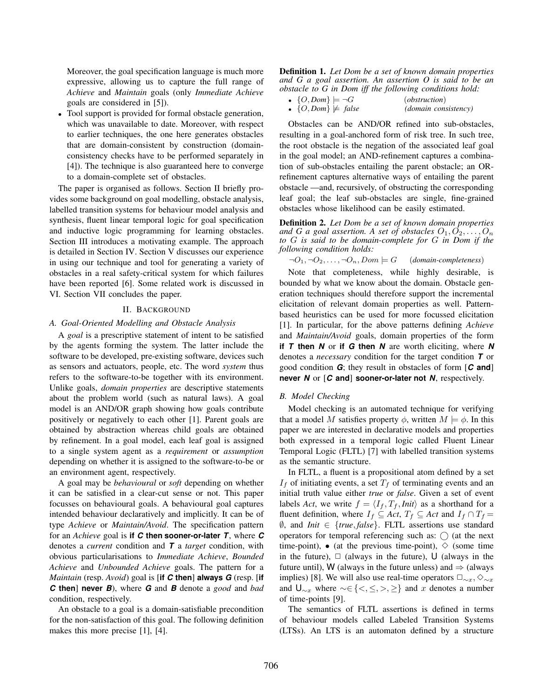Moreover, the goal specification language is much more expressive, allowing us to capture the full range of *Achieve* and *Maintain* goals (only *Immediate Achieve* goals are considered in [5]).

• Tool support is provided for formal obstacle generation, which was unavailable to date. Moreover, with respect to earlier techniques, the one here generates obstacles that are domain-consistent by construction (domainconsistency checks have to be performed separately in [4]). The technique is also guaranteed here to converge to a domain-complete set of obstacles.

The paper is organised as follows. Section II briefly provides some background on goal modelling, obstacle analysis, labelled transition systems for behaviour model analysis and synthesis, fluent linear temporal logic for goal specification and inductive logic programming for learning obstacles. Section III introduces a motivating example. The approach is detailed in Section IV. Section V discusses our experience in using our technique and tool for generating a variety of obstacles in a real safety-critical system for which failures have been reported [6]. Some related work is discussed in VI. Section VII concludes the paper.

## II. BACKGROUND

# *A. Goal-Oriented Modelling and Obstacle Analysis*

A *goal* is a prescriptive statement of intent to be satisfied by the agents forming the system. The latter include the software to be developed, pre-existing software, devices such as sensors and actuators, people, etc. The word *system* thus refers to the software-to-be together with its environment. Unlike goals, *domain properties* are descriptive statements about the problem world (such as natural laws). A goal model is an AND/OR graph showing how goals contribute positively or negatively to each other [1]. Parent goals are obtained by abstraction whereas child goals are obtained by refinement. In a goal model, each leaf goal is assigned to a single system agent as a *requirement* or *assumption* depending on whether it is assigned to the software-to-be or an environment agent, respectively.

A goal may be *behavioural* or *soft* depending on whether it can be satisfied in a clear-cut sense or not. This paper focusses on behavioural goals. A behavioural goal captures intended behaviour declaratively and implicitly. It can be of type *Achieve* or *Maintain/Avoid*. The specification pattern for an *Achieve* goal is **if** *C* **then sooner-or-later** *T*, where *C* denotes a *current* condition and *T* a *target* condition, with obvious particularisations to *Immediate Achieve*, *Bounded Achieve* and *Unbounded Achieve* goals. The pattern for a *Maintain* (resp. *Avoid*) goal is [**if** *C* **then**] **always** *G* (resp. [**if** *C* **then**] **never** *B*), where *G* and *B* denote a *good* and *bad* condition, respectively.

An obstacle to a goal is a domain-satisfiable precondition for the non-satisfaction of this goal. The following definition makes this more precise [1], [4].

Definition 1. *Let Dom be a set of known domain properties and G a goal assertion. An assertion O is said to be an obstacle to G in Dom iff the following conditions hold:*

| $\bullet$ {O, Dom} $\models \neg G$ | <i>(obstruction)</i> |
|-------------------------------------|----------------------|
|                                     |                      |

•  $\{O,Dom\} \not\models false$  (domain consistency)

Obstacles can be AND/OR refined into sub-obstacles, resulting in a goal-anchored form of risk tree. In such tree, the root obstacle is the negation of the associated leaf goal in the goal model; an AND-refinement captures a combination of sub-obstacles entailing the parent obstacle; an ORrefinement captures alternative ways of entailing the parent obstacle —and, recursively, of obstructing the corresponding leaf goal; the leaf sub-obstacles are single, fine-grained obstacles whose likelihood can be easily estimated.

Definition 2. *Let Dom be a set of known domain properties* and G a goal assertion. A set of obstacles  $O_1, O_2, \ldots, O_n$ *to* G *is said to be domain-complete for* G *in Dom if the following condition holds:*

 $\neg O_1, \neg O_2, \ldots, \neg O_n, Dom \models G$  (*domain-completeness*)

Note that completeness, while highly desirable, is bounded by what we know about the domain. Obstacle generation techniques should therefore support the incremental elicitation of relevant domain properties as well. Patternbased heuristics can be used for more focussed elicitation [1]. In particular, for the above patterns defining *Achieve* and *Maintain/Avoid* goals, domain properties of the form **if** *T* **then** *N* or **if** *G* **then** *N* are worth eliciting, where *N* denotes a *necessary* condition for the target condition *T* or good condition *G*; they result in obstacles of form [*C* **and**] **never** *N* or [*C* **and**] **sooner-or-later not** *N*, respectively.

# *B. Model Checking*

Model checking is an automated technique for verifying that a model M satisfies property  $\phi$ , written  $M \models \phi$ . In this paper we are interested in declarative models and properties both expressed in a temporal logic called Fluent Linear Temporal Logic (FLTL) [7] with labelled transition systems as the semantic structure.

In FLTL, a fluent is a propositional atom defined by a set  $I_f$  of initiating events, a set  $T_f$  of terminating events and an initial truth value either *true* or *false*. Given a set of event labels *Act*, we write  $f = \langle I_f, T_f, \text{Init} \rangle$  as a shorthand for a fluent definition, where  $I_f \subseteq Act$ ,  $T_f \subseteq Act$  and  $I_f \cap T_f =$ ∅, and *Init* ∈ {*true*, *false*}. FLTL assertions use standard operators for temporal referencing such as:  $\bigcap$  (at the next time-point), • (at the previous time-point),  $\diamond$  (some time in the future),  $\Box$  (always in the future), U (always in the future until), W (always in the future unless) and  $\Rightarrow$  (always implies) [8]. We will also use real-time operators  $\square_{\sim x}, \diamondsuit_{\sim x}$ and  $\bigcup_{\substack{x\\substack{x}}$  where  $\sim \in \{ \leq \ldots \leq \}$  and x denotes a number of time-points [9].

The semantics of FLTL assertions is defined in terms of behaviour models called Labeled Transition Systems (LTSs). An LTS is an automaton defined by a structure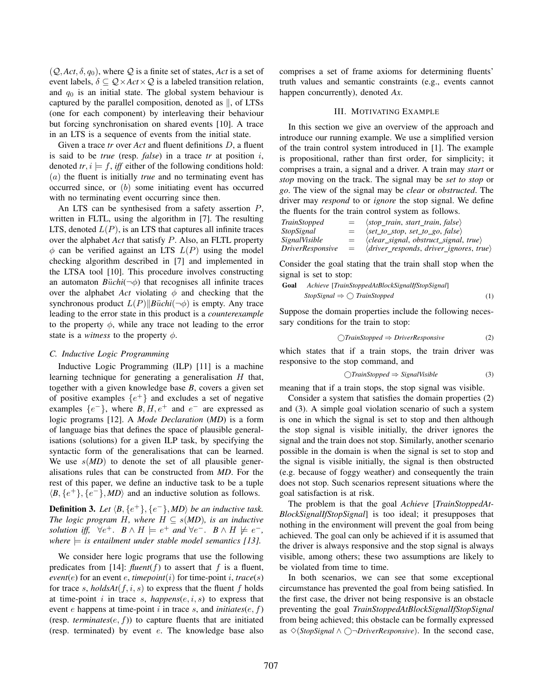$(Q, Act, \delta, q_0)$ , where Q is a finite set of states, *Act* is a set of event labels,  $\delta \subseteq Q \times Act \times Q$  is a labeled transition relation, and  $q_0$  is an initial state. The global system behaviour is captured by the parallel composition, denoted as  $\parallel$ , of LTSs (one for each component) by interleaving their behaviour but forcing synchronisation on shared events [10]. A trace in an LTS is a sequence of events from the initial state.

Given a trace *tr* over *Act* and fluent definitions D, a fluent is said to be *true* (resp. *false*) in a trace *tr* at position i, denoted  $tr, i \models f$ , *iff* either of the following conditions hold: (a) the fluent is initially *true* and no terminating event has occurred since, or (b) some initiating event has occurred with no terminating event occurring since then.

An LTS can be synthesised from a safety assertion P, written in FLTL, using the algorithm in [7]. The resulting LTS, denoted  $L(P)$ , is an LTS that captures all infinite traces over the alphabet *Act* that satisfy P. Also, an FLTL property  $\phi$  can be verified against an LTS  $L(P)$  using the model checking algorithm described in [7] and implemented in the LTSA tool [10]. This procedure involves constructing an automaton  $B\ddot{u}chi(\neg\phi)$  that recognises all infinite traces over the alphabet *Act* violating  $\phi$  and checking that the synchronous product  $L(P)$ *Büchi*( $\neg \phi$ ) is empty. Any trace leading to the error state in this product is a *counterexample* to the property  $\phi$ , while any trace not leading to the error state is a *witness* to the property  $\phi$ .

# *C. Inductive Logic Programming*

Inductive Logic Programming (ILP) [11] is a machine learning technique for generating a generalisation  $H$  that, together with a given knowledge base *B*, covers a given set of positive examples  $\{e^+\}$  and excludes a set of negative examples  $\{e^-\}$ , where  $B, H, e^+$  and  $e^-$  are expressed as logic programs [12]. A *Mode Declaration* (*MD*) is a form of language bias that defines the space of plausible generalisations (solutions) for a given ILP task, by specifying the syntactic form of the generalisations that can be learned. We use  $s(MD)$  to denote the set of all plausible generalisations rules that can be constructed from *MD*. For the rest of this paper, we define an inductive task to be a tuple  $\langle B, \{e^+\}, \{e^-\}, \langle MD \rangle$  and an inductive solution as follows.

**Definition 3.** Let  $\langle B, \{e^+\}, \{e^-\}, \langle MD \rangle$  be an inductive task. *The logic program* H, where  $H \subseteq s(MD)$ , is an inductive *solution iff,*  $\forall e^+$ .  $B \wedge H \models e^+$  *and*  $\forall e^-$ .  $B \wedge H \not\models e^-$ , *where*  $\equiv$  *is entailment under stable model semantics [13].* 

We consider here logic programs that use the following predicates from [14]:  $fluent(f)$  to assert that f is a fluent,  $event(e)$  for an event e, *timepoint* $(i)$  for time-point i, *trace* $(s)$ for trace s,  $holdsAt(f, i, s)$  to express that the fluent f holds at time-point  $i$  in trace  $s$ ,  $happens(e, i, s)$  to express that event  $e$  happens at time-point  $i$  in trace  $s$ , and *initiates* $(e, f)$ (resp. *terminates* $(e, f)$ ) to capture fluents that are initiated (resp. terminated) by event e. The knowledge base also

comprises a set of frame axioms for determining fluents' truth values and semantic constraints (e.g., events cannot happen concurrently), denoted *Ax*.

# III. MOTIVATING EXAMPLE

In this section we give an overview of the approach and introduce our running example. We use a simplified version of the train control system introduced in [1]. The example is propositional, rather than first order, for simplicity; it comprises a train, a signal and a driver. A train may *start* or *stop* moving on the track. The signal may be *set to stop* or *go*. The view of the signal may be *clear* or *obstructed*. The driver may *respond* to or *ignore* the stop signal. We define the fluents for the train control system as follows.

| TrainStopped     | $=$ | $\langle stop\_train, start\_train, false \rangle$        |
|------------------|-----|-----------------------------------------------------------|
| StopSignal       | $=$ | $\langle set_to\_stop, set_to_go, false \rangle$          |
| SignalVisible    | $=$ | $\langle clear\_signal, obstruct\_signal, true \rangle$   |
| DriverResponsive | $=$ | $\langle driver\_responds, driver\_ignores, true \rangle$ |
|                  |     |                                                           |

Consider the goal stating that the train shall stop when the signal is set to stop:

Goal *Achieve* [*TrainStoppedAtBlockSignalIfStopSignal*]

$$
StopSignal \Rightarrow \bigcirc TrainStopped
$$
 (1)

Suppose the domain properties include the following necessary conditions for the train to stop:

$$
\bigcirc \text{TrainStoped} \Rightarrow \text{DriverResponse} \tag{2}
$$

which states that if a train stops, the train driver was responsive to the stop command, and

$$
\bigcirc \text{TrainStopped} \Rightarrow \text{SignalVisible} \tag{3}
$$

meaning that if a train stops, the stop signal was visible.

Consider a system that satisfies the domain properties (2) and (3). A simple goal violation scenario of such a system is one in which the signal is set to stop and then although the stop signal is visible initially, the driver ignores the signal and the train does not stop. Similarly, another scenario possible in the domain is when the signal is set to stop and the signal is visible initially, the signal is then obstructed (e.g. because of foggy weather) and consequently the train does not stop. Such scenarios represent situations where the goal satisfaction is at risk.

The problem is that the goal *Achieve* [*TrainStoppedAt-BlockSignalIfStopSignal*] is too ideal; it presupposes that nothing in the environment will prevent the goal from being achieved. The goal can only be achieved if it is assumed that the driver is always responsive and the stop signal is always visible, among others; these two assumptions are likely to be violated from time to time.

In both scenarios, we can see that some exceptional circumstance has prevented the goal from being satisfied. In the first case, the driver not being responsive is an obstacle preventing the goal *TrainStoppedAtBlockSignalIfStopSignal* from being achieved; this obstacle can be formally expressed as ✸(*StopSignal* ∧ 
¬*DriverResponsive*). In the second case,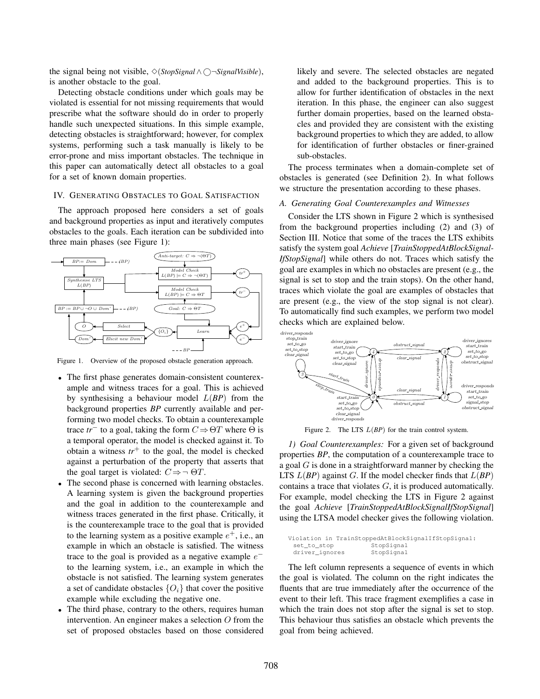the signal being not visible,  $\Diamond$ (*StopSignal* ∧ ○ ¬*SignalVisible*), is another obstacle to the goal.

Detecting obstacle conditions under which goals may be violated is essential for not missing requirements that would prescribe what the software should do in order to properly handle such unexpected situations. In this simple example, detecting obstacles is straightforward; however, for complex systems, performing such a task manually is likely to be error-prone and miss important obstacles. The technique in this paper can automatically detect all obstacles to a goal for a set of known domain properties.

#### IV. GENERATING OBSTACLES TO GOAL SATISFACTION

The approach proposed here considers a set of goals and background properties as input and iteratively computes obstacles to the goals. Each iteration can be subdivided into three main phases (see Figure 1):



Figure 1. Overview of the proposed obstacle generation approach.

- The first phase generates domain-consistent counterexample and witness traces for a goal. This is achieved by synthesising a behaviour model L(*BP*) from the background properties *BP* currently available and performing two model checks. To obtain a counterexample trace  $tr^-$  to a goal, taking the form  $C \Rightarrow \Theta T$  where  $\Theta$  is a temporal operator, the model is checked against it. To obtain a witness  $tr<sup>+</sup>$  to the goal, the model is checked against a perturbation of the property that asserts that the goal target is violated:  $C \Rightarrow \neg \Theta T$ .
- The second phase is concerned with learning obstacles. A learning system is given the background properties and the goal in addition to the counterexample and witness traces generated in the first phase. Critically, it is the counterexample trace to the goal that is provided to the learning system as a positive example  $e^+$ , i.e., an example in which an obstacle is satisfied. The witness trace to the goal is provided as a negative example  $e^$ to the learning system, i.e., an example in which the obstacle is not satisfied. The learning system generates a set of candidate obstacles  $\{O_i\}$  that cover the positive example while excluding the negative one.
- The third phase, contrary to the others, requires human intervention. An engineer makes a selection O from the set of proposed obstacles based on those considered

likely and severe. The selected obstacles are negated and added to the background properties. This is to allow for further identification of obstacles in the next iteration. In this phase, the engineer can also suggest further domain properties, based on the learned obstacles and provided they are consistent with the existing background properties to which they are added, to allow for identification of further obstacles or finer-grained sub-obstacles.

The process terminates when a domain-complete set of obstacles is generated (see Definition 2). In what follows we structure the presentation according to these phases.

# *A. Generating Goal Counterexamples and Witnesses*

Consider the LTS shown in Figure 2 which is synthesised from the background properties including (2) and (3) of Section III. Notice that some of the traces the LTS exhibits satisfy the system goal *Achieve* [*TrainStoppedAtBlockSignal-IfStopSignal*] while others do not. Traces which satisfy the goal are examples in which no obstacles are present (e.g., the signal is set to stop and the train stops). On the other hand, traces which violate the goal are examples of obstacles that are present (e.g., the view of the stop signal is not clear). To automatically find such examples, we perform two model checks which are explained below.



Figure 2. The LTS  $L(BP)$  for the train control system.

*1) Goal Counterexamples:* For a given set of background properties *BP*, the computation of a counterexample trace to a goal  $G$  is done in a straightforward manner by checking the LTS  $L(BP)$  against G. If the model checker finds that  $L(BP)$ contains a trace that violates  $G$ , it is produced automatically. For example, model checking the LTS in Figure 2 against the goal *Achieve* [*TrainStoppedAtBlockSignalIfStopSignal*] using the LTSA model checker gives the following violation.

```
Violation in TrainStoppedAtBlockSignalIfStopSignal:<br>set_to_stop StopSignal
  set_to_stop StopSignal<br>driver_ignores StopSignal
  driver ignores
```
The left column represents a sequence of events in which the goal is violated. The column on the right indicates the fluents that are true immediately after the occurrence of the event to their left. This trace fragment exemplifies a case in which the train does not stop after the signal is set to stop. This behaviour thus satisfies an obstacle which prevents the goal from being achieved.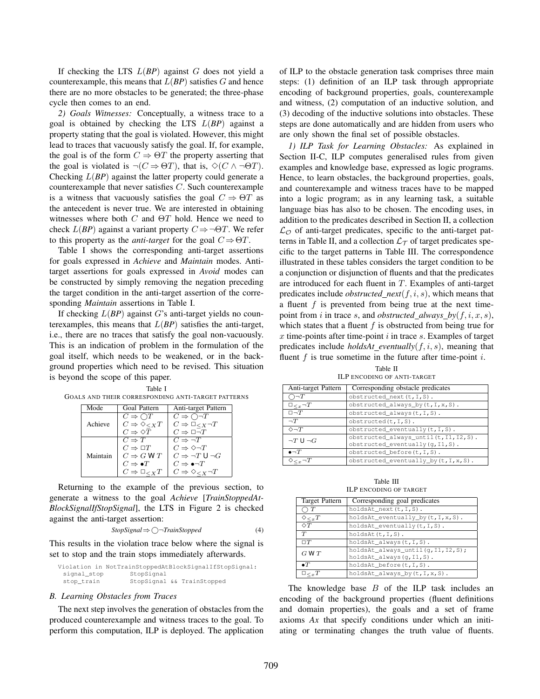If checking the LTS  $L(BP)$  against  $G$  does not yield a counterexample, this means that  $L(BP)$  satisfies  $G$  and hence there are no more obstacles to be generated; the three-phase cycle then comes to an end.

*2) Goals Witnesses:* Conceptually, a witness trace to a goal is obtained by checking the LTS L(*BP*) against a property stating that the goal is violated. However, this might lead to traces that vacuously satisfy the goal. If, for example, the goal is of the form  $C \Rightarrow \Theta T$  the property asserting that the goal is violated is  $\neg(C \Rightarrow \Theta T)$ , that is,  $\Diamond(C \land \neg \Theta T)$ . Checking L(*BP*) against the latter property could generate a counterexample that never satisfies C. Such counterexample is a witness that vacuously satisfies the goal  $C \Rightarrow \Theta T$  as the antecedent is never true. We are interested in obtaining witnesses where both  $C$  and  $\Theta T$  hold. Hence we need to check  $L(BP)$  against a variant property  $C \Rightarrow \neg \Theta T$ . We refer to this property as the *anti-target* for the goal  $C \Rightarrow \Theta T$ .

Table I shows the corresponding anti-target assertions for goals expressed in *Achieve* and *Maintain* modes. Antitarget assertions for goals expressed in *Avoid* modes can be constructed by simply removing the negation preceding the target condition in the anti-target assertion of the corresponding *Maintain* assertions in Table I.

If checking  $L(BP)$  against G's anti-target yields no counterexamples, this means that  $L(BP)$  satisfies the anti-target, i.e., there are no traces that satisfy the goal non-vacuously. This is an indication of problem in the formulation of the goal itself, which needs to be weakened, or in the background properties which need to be revised. This situation is beyond the scope of this paper.

|                                                    | Table I |  |
|----------------------------------------------------|---------|--|
| GOALS AND THEIR CORRESPONDING ANTI-TARGET PATTERNS |         |  |

| Mode     | Goal Pattern                          | Anti-target Pattern                        |
|----------|---------------------------------------|--------------------------------------------|
|          | $C \Rightarrow \bigcirc T$            | $C \Rightarrow \overline{C} \rightarrow T$ |
| Achieve  | $C \Rightarrow \Diamond \ltimes_X T$  | $C \Rightarrow \Box_{\leq X} \neg T$       |
|          | $C \Rightarrow \Diamond \overline{T}$ | $C \Rightarrow \Box \overline{\neg} T$     |
|          | $C \Rightarrow T$                     | $C \Rightarrow \neg T$                     |
|          | $C \Rightarrow \Box T$                | $C \Rightarrow \Diamond \neg T$            |
| Maintain | $C \Rightarrow G \mathsf{W} T$        | $C \Rightarrow \neg T \cup \neg G$         |
|          | $C \Rightarrow \bullet T$             | $C \Rightarrow \bullet \neg T$             |
|          | $C \Rightarrow \Box_{\leq X} T$       | $C \Rightarrow \Diamond \angle_X \neg T$   |

Returning to the example of the previous section, to generate a witness to the goal *Achieve* [*TrainStoppedAt-BlockSignalIfStopSignal*], the LTS in Figure 2 is checked against the anti-target assertion:

$$
StopSignal \Rightarrow \bigcirc \neg TrainStopped \tag{4}
$$

This results in the violation trace below where the signal is set to stop and the train stops immediately afterwards.

Violation in NotTrainStoppedAtBlockSignalIfStopSignal: signal stop StopSignal stop\_train StopSignal && TrainStopped

#### *B. Learning Obstacles from Traces*

The next step involves the generation of obstacles from the produced counterexample and witness traces to the goal. To perform this computation, ILP is deployed. The application

of ILP to the obstacle generation task comprises three main steps: (1) definition of an ILP task through appropriate encoding of background properties, goals, counterexample and witness, (2) computation of an inductive solution, and (3) decoding of the inductive solutions into obstacles. These steps are done automatically and are hidden from users who are only shown the final set of possible obstacles.

*1) ILP Task for Learning Obstacles:* As explained in Section II-C, ILP computes generalised rules from given examples and knowledge base, expressed as logic programs. Hence, to learn obstacles, the background properties, goals, and counterexample and witness traces have to be mapped into a logic program; as in any learning task, a suitable language bias has also to be chosen. The encoding uses, in addition to the predicates described in Section II, a collection  $\mathcal{L}_{\mathcal{O}}$  of anti-target predicates, specific to the anti-target patterns in Table II, and a collection  $\mathcal{L}_{\mathcal{T}}$  of target predicates specific to the target patterns in Table III. The correspondence illustrated in these tables considers the target condition to be a conjunction or disjunction of fluents and that the predicates are introduced for each fluent in T. Examples of anti-target predicates include *obstructed\_next* $(f, i, s)$ , which means that a fluent  $f$  is prevented from being true at the next timepoint from i in trace s, and *obstructed\_always\_by* $(f, i, x, s)$ , which states that a fluent  $f$  is obstructed from being true for  $x$  time-points after time-point  $i$  in trace  $s$ . Examples of target predicates include *holdsAt eventually*(f, i, s), meaning that fluent  $f$  is true sometime in the future after time-point  $i$ .

Table II ILP ENCODING OF ANTI-TARGET

| Anti-target Pattern        | Corresponding obstacle predicates      |  |
|----------------------------|----------------------------------------|--|
| $\supset \neg T$           | $obstructed\_next(t,I,S)$ .            |  |
| $\square_{\leq x} \neg T$  | obstructed_always_by(t, I, x, S).      |  |
| $\Box \neg T$              | $obstructed_always(t,I,S)$ .           |  |
| $\neg T$                   | $obstructed(t,I,S)$ .                  |  |
| $\Diamond \neg T$          | $obstructed\_eventually(t, I, S)$ .    |  |
| $\neg T \cup \neg G$       | obstructed_always_until(t, I1, I2, S). |  |
|                            | obstructed_eventually(g, I1, S).       |  |
| $\bullet \neg T$           | obstructed before(t, I, S).            |  |
| $\diamond_{\leq x} \neg T$ | obstructed_eventually_by(t, I, x, S).  |  |

Table III ILP ENCODING OF TARGET

| <b>Target Pattern</b>               | Corresponding goal predicates                                    |
|-------------------------------------|------------------------------------------------------------------|
| $\supset T$                         | holdsAt next(t, I, S).                                           |
| $\Diamond_{\leq x} T$               | holdsAt_eventually_by(t, I, x, S).                               |
| $\Diamond T$                        | holdsAt_eventually(t, I, S).                                     |
| T                                   | holdsAt(t,I,S).                                                  |
| $\Box T$                            | holdsAt_always(t, I, S).                                         |
| GWT                                 | holdsAt_always_until(q, I1, I2, S);<br>holdsAt_always(q, I1, S). |
| $\bullet$ <sup><math>T</math></sup> | holdsAt before(t, I, S).                                         |
| $\square_{\lt x}T$                  | holdsAt_always_by(t, I, x, S).                                   |

The knowledge base  $B$  of the ILP task includes an encoding of the background properties (fluent definitions and domain properties), the goals and a set of frame axioms *Ax* that specify conditions under which an initiating or terminating changes the truth value of fluents.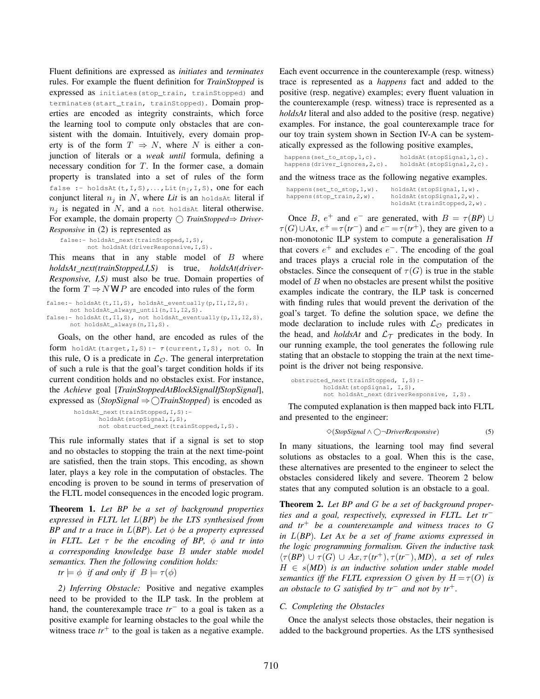Fluent definitions are expressed as *initiates* and *terminates* rules. For example the fluent definition for *TrainStopped* is expressed as initiates(stop\_train, trainStopped) and terminates(start\_train, trainStopped). Domain properties are encoded as integrity constraints, which force the learning tool to compute only obstacles that are consistent with the domain. Intuitively, every domain property is of the form  $T \Rightarrow N$ , where N is either a conjunction of literals or a *weak until* formula, defining a necessary condition for  $T$ . In the former case, a domain property is translated into a set of rules of the form false :- holdsAt $(t, I, S), \ldots$ , Lit $(n_i, I, S)$ , one for each conjunct literal  $n_i$  in N, where Lit is an holds At literal if  $n_i$  is negated in N, and a not holdsAt literal otherwise. For example, the domain property *TrainStopped*⇒ *Driver-Responsive* in (2) is represented as

```
false:- holdsAt_next(trainStopped,I,S),
       not holdsAt(driverResponsive, I, S).
```
This means that in any stable model of  $B$  where *holdsAt next(trainStopped,I,S)* is true, *holdsAt(driver-Responsive, I,S)* must also be true. Domain properties of the form  $T \Rightarrow NWP$  are encoded into rules of the form

```
false:- holdsAt(t,I1,S), holdsAt_eventually(p,I1,I2,S),
     not holdsAt_always_until(n,I1,I2,S).
false:- holdsAt(t,I1,S), not holdsAt_eventually(p,I1,I2,S),
      not holdsAt_always(n,I1,S).
```
Goals, on the other hand, are encoded as rules of the form holdAt(target, I, S) :-  $\tau$ (current, I, S), not O. In this rule, O is a predicate in  $\mathcal{L}_{\mathcal{O}}$ . The general interpretation of such a rule is that the goal's target condition holds if its current condition holds and no obstacles exist. For instance, the *Achieve* goal [*TrainStoppedAtBlockSignalIfStopSignal*], expressed as (*StopSignal* ⇒ *TrainStopped*) is encoded as

```
holdsAt_next(trainStopped,I,S):-
       holdsAt(stopSignal, I, S),
       not obstructed_next(trainStopped,I,S).
```
This rule informally states that if a signal is set to stop and no obstacles to stopping the train at the next time-point are satisfied, then the train stops. This encoding, as shown later, plays a key role in the computation of obstacles. The encoding is proven to be sound in terms of preservation of the FLTL model consequences in the encoded logic program.

Theorem 1. *Let BP be a set of background properties expressed in FLTL let* L(*BP*) *be the LTS synthesised from BP* and tr a trace in  $L(BP)$ *. Let*  $\phi$  *be a property expressed in FLTL. Let* τ *be the encoding of BP,* φ *and tr into a corresponding knowledge base* B *under stable model semantics. Then the following condition holds:*

 $tr \models \phi$  *if and only if*  $B \models \tau(\phi)$ 

*2) Inferring Obstacle:* Positive and negative examples need to be provided to the ILP task. In the problem at hand, the counterexample trace *tr*<sup>−</sup> to a goal is taken as a positive example for learning obstacles to the goal while the witness trace  $tr<sup>+</sup>$  to the goal is taken as a negative example.

Each event occurrence in the counterexample (resp. witness) trace is represented as a *happens* fact and added to the positive (resp. negative) examples; every fluent valuation in the counterexample (resp. witness) trace is represented as a *holdsAt* literal and also added to the positive (resp. negative) examples. For instance, the goal counterexample trace for our toy train system shown in Section IV-A can be systematically expressed as the following positive examples,

| happens (set_to_stop, $1, c$ ). | holdsAt(stopSignal, 1, c). |
|---------------------------------|----------------------------|
| happens (driver_ignores, 2, c). | holdsAt(stopSignal, 2, c). |

and the witness trace as the following negative examples.

| happens (set_to_stop, 1, w). | holdsAt(stopSignal, 1, w).   |
|------------------------------|------------------------------|
| happens (stop_train, 2, w).  | holdsAt(stopSignal, 2, w).   |
|                              | holdsAt(trainStopped, 2, w). |

Once B,  $e^+$  and  $e^-$  are generated, with  $B = \tau(BP) \cup \tau(AP)$  $\tau(G) \cup Ax$ ,  $e^+ = \tau(tr^-)$  and  $e^- = \tau(tr^+)$ , they are given to a non-monotonic ILP system to compute a generalisation H that covers  $e^+$  and excludes  $e^-$ . The encoding of the goal and traces plays a crucial role in the computation of the obstacles. Since the consequent of  $\tau(G)$  is true in the stable model of  $B$  when no obstacles are present whilst the positive examples indicate the contrary, the ILP task is concerned with finding rules that would prevent the derivation of the goal's target. To define the solution space, we define the mode declaration to include rules with  $\mathcal{L}_{\mathcal{O}}$  predicates in the head, and *holdsAt* and  $\mathcal{L}_{\mathcal{T}}$  predicates in the body. In our running example, the tool generates the following rule stating that an obstacle to stopping the train at the next timepoint is the driver not being responsive.

```
obstructed_next(trainStopped, I,S):-
         holdsAt(stopSignal, I,S),
        not holdsAt next(driverResponsive, I,S).
```
The computed explanation is then mapped back into FLTL and presented to the engineer:

$$
\diamond (StopSignal \land \bigcirc \neg DriverResponse)
$$
 (5)

In many situations, the learning tool may find several solutions as obstacles to a goal. When this is the case, these alternatives are presented to the engineer to select the obstacles considered likely and severe. Theorem 2 below states that any computed solution is an obstacle to a goal.

Theorem 2. *Let BP and* G *be a set of background properties and a goal, respectively, expressed in FLTL. Let tr*<sup>−</sup> *and tr*<sup>+</sup> *be a counterexample and witness traces to* G *in* L(*BP*)*. Let Ax be a set of frame axioms expressed in the logic programming formalism. Given the inductive task*  $\langle \tau(BP) \cup \tau(G) \cup Ax, \tau(tr^+), \tau(tr^-), MD \rangle$ *, a set of rules*  $H \in s(MD)$  *is an inductive solution under stable model semantics iff the FLTL expression* O *given by*  $H = \tau(O)$  *is an obstacle to* G *satisfied by tr*<sup>−</sup> *and not by tr*<sup>+</sup>*.*

## *C. Completing the Obstacles*

Once the analyst selects those obstacles, their negation is added to the background properties. As the LTS synthesised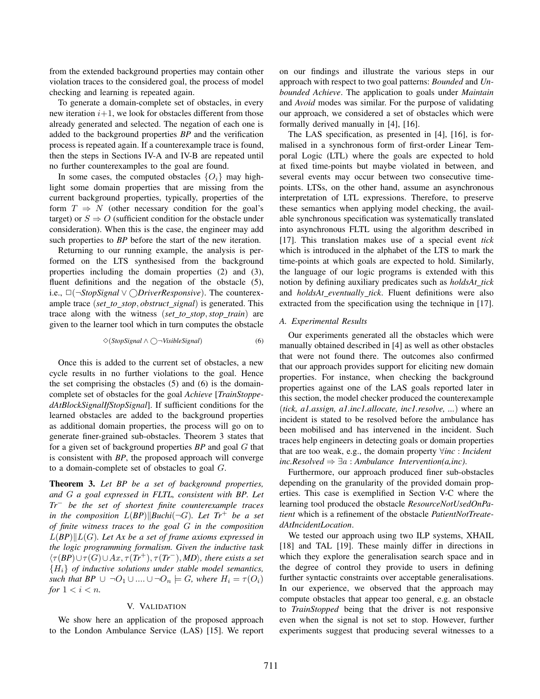from the extended background properties may contain other violation traces to the considered goal, the process of model checking and learning is repeated again.

To generate a domain-complete set of obstacles, in every new iteration  $i+1$ , we look for obstacles different from those already generated and selected. The negation of each one is added to the background properties *BP* and the verification process is repeated again. If a counterexample trace is found, then the steps in Sections IV-A and IV-B are repeated until no further counterexamples to the goal are found.

In some cases, the computed obstacles  $\{O_i\}$  may highlight some domain properties that are missing from the current background properties, typically, properties of the form  $T \Rightarrow N$  (other necessary condition for the goal's target) or  $S \Rightarrow O$  (sufficient condition for the obstacle under consideration). When this is the case, the engineer may add such properties to *BP* before the start of the new iteration.

Returning to our running example, the analysis is performed on the LTS synthesised from the background properties including the domain properties (2) and (3), fluent definitions and the negation of the obstacle (5), i.e., ✷(¬*StopSignal* ∨ *DriverResponsive*). The counterexample trace (*set to stop*, *obstruct signal*) is generated. This trace along with the witness (*set to stop*,*stop train*) are given to the learner tool which in turn computes the obstacle

$$
\diamond (StopSignal \land \bigcirc \neg VisibleSignal) \tag{6}
$$

Once this is added to the current set of obstacles, a new cycle results in no further violations to the goal. Hence the set comprising the obstacles (5) and (6) is the domaincomplete set of obstacles for the goal *Achieve* [*TrainStoppedAtBlockSignalIfStopSignal*]. If sufficient conditions for the learned obstacles are added to the background properties as additional domain properties, the process will go on to generate finer-grained sub-obstacles. Theorem 3 states that for a given set of background properties *BP* and goal G that is consistent with *BP*, the proposed approach will converge to a domain-complete set of obstacles to goal G.

Theorem 3. *Let BP be a set of background properties, and* G *a goal expressed in FLTL, consistent with BP. Let Tr*<sup>−</sup> *be the set of shortest finite counterexample traces in the composition*  $L(BP)||Buchi(\neg G)$ *. Let*  $Tr^+$  *be a set of finite witness traces to the goal* G *in the composition*  $L(BP)||L(G)$ *. Let Ax be a set of frame axioms expressed in the logic programming formalism. Given the inductive task*  $\langle \tau(BP) \cup \tau(G) \cup Ax, \tau(Tr^+), \tau(Tr^-), MD \rangle$ , there exists a set {Hi} *of inductive solutions under stable model semantics, such that BP*  $\cup \neg O_1 \cup ... \cup \neg O_n \models G$ *, where*  $H_i = \tau(O_i)$ *for*  $1 < i < n$ *.* 

# V. VALIDATION

We show here an application of the proposed approach to the London Ambulance Service (LAS) [15]. We report

on our findings and illustrate the various steps in our approach with respect to two goal patterns: *Bounded* and *Unbounded Achieve*. The application to goals under *Maintain* and *Avoid* modes was similar. For the purpose of validating our approach, we considered a set of obstacles which were formally derived manually in [4], [16].

The LAS specification, as presented in [4], [16], is formalised in a synchronous form of first-order Linear Temporal Logic (LTL) where the goals are expected to hold at fixed time-points but maybe violated in between, and several events may occur between two consecutive timepoints. LTSs, on the other hand, assume an asynchronous interpretation of LTL expressions. Therefore, to preserve these semantics when applying model checking, the available synchronous specification was systematically translated into asynchronous FLTL using the algorithm described in [17]. This translation makes use of a special event *tick* which is introduced in the alphabet of the LTS to mark the time-points at which goals are expected to hold. Similarly, the language of our logic programs is extended with this notion by defining auxiliary predicates such as *holdsAt tick* and *holdsAt eventually tick*. Fluent definitions were also extracted from the specification using the technique in [17].

# *A. Experimental Results*

Our experiments generated all the obstacles which were manually obtained described in [4] as well as other obstacles that were not found there. The outcomes also confirmed that our approach provides support for eliciting new domain properties. For instance, when checking the background properties against one of the LAS goals reported later in this section, the model checker produced the counterexample (*tick, a1.assign, a1.inc1.allocate, inc1.resolve, ...*) where an incident is stated to be resolved before the ambulance has been mobilised and has intervened in the incident. Such traces help engineers in detecting goals or domain properties that are too weak, e.g., the domain property ∀*inc* : *Incident inc.Resolved*  $⇒ ∃a : Ambalance\text{ }Interior(a, inc).$ 

Furthermore, our approach produced finer sub-obstacles depending on the granularity of the provided domain properties. This case is exemplified in Section V-C where the learning tool produced the obstacle *ResourceNotUsedOnPatient* which is a refinement of the obstacle *PatientNotTreatedAtIncidentLocation*.

We tested our approach using two ILP systems, XHAIL [18] and TAL [19]. These mainly differ in directions in which they explore the generalisation search space and in the degree of control they provide to users in defining further syntactic constraints over acceptable generalisations. In our experience, we observed that the approach may compute obstacles that appear too general, e.g. an obstacle to *TrainStopped* being that the driver is not responsive even when the signal is not set to stop. However, further experiments suggest that producing several witnesses to a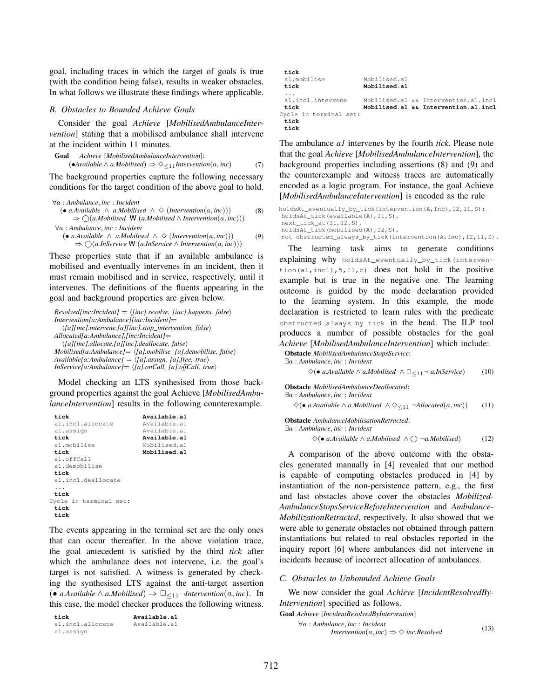goal, including traces in which the target of goals is true (with the condition being false), results in weaker obstacles. In what follows we illustrate these findings where applicable.

#### *B. Obstacles to Bounded Achieve Goals*

Consider the goal *Achieve* [*MobilisedAmbulanceIntervention*] stating that a mobilised ambulance shall intervene at the incident within 11 minutes.

**Goal** *Achieve [MobilisedAmbulanceIntervention]*:  
\n(
$$
\bullet
$$
Available  $\land$  a.*Mobilised*)  $\Rightarrow \Diamond_{\leq 11}$  *Intervention*(a, inc) (7)

The background properties capture the following necessary conditions for the target condition of the above goal to hold.

$$
\forall a : Ambulance, inc : Incident
$$
  
\n
$$
(\bullet \ a. Available \land a. Mobileed \land \Diamond (International(a, inc)))
$$
  
\n
$$
\Rightarrow \bigcirc (a. Mobileed W (a. Mobileed \land Interpretion(a, inc)))
$$
  
\n
$$
\forall a : Ambulance, inc : Incident
$$
  
\n
$$
(\bullet \ a. Available \land a. Mobileed \land \Diamond (International, inc)))
$$
  
\n
$$
\Rightarrow \bigcirc (a. InService W (a. InService \land Interpretion(a, inc)))
$$
  
\n(9)

These properties state that if an available ambulance is mobilised and eventually intervenes in an incident, then it must remain mobilised and in service, respectively, until it intervenes. The definitions of the fluents appearing in the goal and background properties are given below.

```
Resolved[inc:Incident] = \langle [inc].resolve, [inc].happens, false \rangleIntervention[a:Ambulance][inc:Incident]=
   h[a][inc].intervene,[a][inc].stop intervention, falsei
Allocated[a:Ambulance].[inc:Incident]=
   h[a][inc].allocate,[a][inc].deallocate, falsei
Mobilised[a:Ambulance]= h[a].mobilise, [a].demobilise, falsei
Available[a:Ambulance] = \langle [a].assign, [a].free, true \rangleInService[a:Ambulance] = \langle [a].onCall, [a].offCall, true \rangle
```
Model checking an LTS synthesised from those background properties against the goal Achieve [*MobilisedAmbulanceIntervention*] results in the following counterexample.

```
tick Available.a1
 a1.inc1.allocate Available.a1
 al.assign <br>
tick Available.al<br>
Available.al
                           Available.a1<br>Mobilised.a1
 al.mobilise<br>tick
                           tick Mobilised.a1
 a1.offCall
 a1.demobilise
 tick
 a1.inc1.deallocate
 ...
tick
Cycle in terminal set:
 tick
 tick
```
The events appearing in the terminal set are the only ones that can occur thereafter. In the above violation trace, the goal antecedent is satisfied by the third *tick* after which the ambulance does not intervene, i.e. the goal's target is not satisfied. A witness is generated by checking the synthesised LTS against the anti-target assertion (• *a.Available* ∧ *a.Mobilised*)  $\Rightarrow \Box_{\leq 11} \neg\text{Intervention}(a, inc)$ . In this case, the model checker produces the following witness.

```
tick Available.a1
al.incl.allocate
a1.assign
```

| tick                   |              |                                      |
|------------------------|--------------|--------------------------------------|
| al.mobilise            | Mobilised.a1 |                                      |
| tick                   | Mobilised.al |                                      |
| .                      |              |                                      |
| al.incl.intervene      |              | Mobilised.al && Intervention.al.incl |
| tick                   |              | Mobilised.al && Intervention.al.incl |
| Cycle in terminal set: |              |                                      |
| tick                   |              |                                      |
| tick                   |              |                                      |

The ambulance *a1* intervenes by the fourth *tick*. Please note that the goal *Achieve* [*MobilisedAmbulanceIntervention*], the background properties including assertions (8) and (9) and the counterexample and witness traces are automatically encoded as a logic program. For instance, the goal Achieve [*MobilisedAmbulanceIntervention*] is encoded as the rule

```
holdsAt_eventually_by_tick(intervention(A,Inc),I2,11,S):-
holdsAt_tick(available(A),I1,S),
next_tick_at(I1,I2,S),
holdsAt_tick(mobilised(A),I2,S),
```
not obstructed\_always\_by\_tick(intervention(A,Inc),I2,11,S).

The learning task aims to generate conditions explaining why holdsAt\_eventually\_by\_tick(intervention(a1, inc1),  $5,11,c$  does not hold in the positive example but is true in the negative one. The learning outcome is guided by the mode declaration provided to the learning system. In this example, the mode declaration is restricted to learn rules with the predicate obstructed\_always\_by\_tick in the head. The ILP tool produces a number of possible obstacles for the goal *Achieve* [*MobilisedAmbulanceIntervention*] which include:

```
Obstacle MobilisedAmbulanceStopsService:
```
∃a : *Ambulance*, *inc* : *Incident*

$$
\Diamond (\bullet \text{ a.} \text{Available } \land \text{ a.} \text{Mobileed } \land \Box_{\leq 11} \neg \text{ a.} \text{In} \text{Service}) \tag{10}
$$

Obstacle *MobilisedAmbulanceDeallocated*:

∃a : *Ambulance*, *inc* : *Incident*

 $\diamond$ (• *a.Available* ∧ *a.Mobilised* ∧  $\diamondsuit_{\leq 11}$  ¬*Allocated*(*a, inc*)) (11)

Obstacle *AmbulanceMobilisationRetracted*:

∃a : *Ambulance*, *inc* : *Incident*

 $\diamond$ (• *a.Available* ∧ *a.Mobilised* ∧  $\bigcap$  ¬*a.Mobilised*) (12)

A comparison of the above outcome with the obstacles generated manually in [4] revealed that our method is capable of computing obstacles produced in [4] by instantiation of the non-persistence pattern, e.g., the first and last obstacles above cover the obstacles *Mobilized-AmbulanceStopsServiceBeforeIntervention* and *Ambulance-MobilizationRetracted*, respectively. It also showed that we were able to generate obstacles not obtained through pattern instantiations but related to real obstacles reported in the inquiry report [6] where ambulances did not intervene in incidents because of incorrect allocation of ambulances.

### *C. Obstacles to Unbounded Achieve Goals*

We now consider the goal *Achieve* [*IncidentResolvedBy-Intervention*] specified as follows.

Goal *Achieve* [*IncidentResolvedByIntervention*] ∀a : *Ambulance*, *inc* : *Incident*

$$
\forall a : Amnuance, mc : \text{incaent}
$$
\n
$$
\text{Intervention}(a, inc) \Rightarrow \Diamond \text{ inc.Resolved} \tag{13}
$$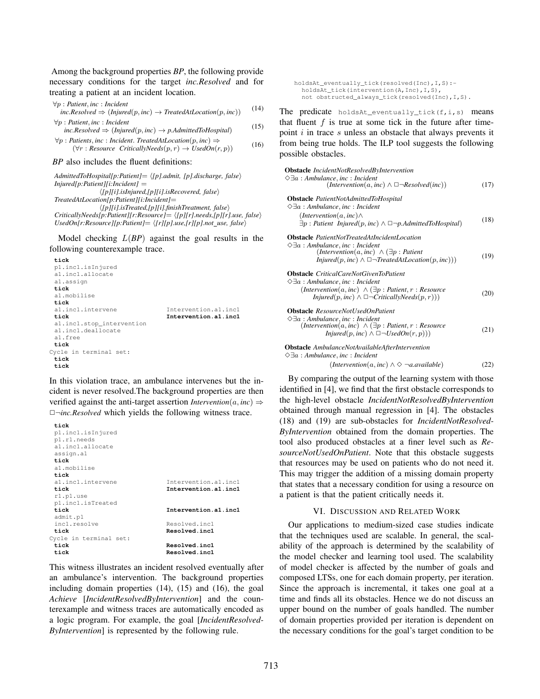Among the background properties *BP*, the following provide necessary conditions for the target *inc.Resolved* and for treating a patient at an incident location.

$$
\forall p : Patient, inc : Incidentinc.Resolved \Rightarrow (Injured(p, inc) \rightarrow TreatedALLocation(p, inc))
$$
(14)  

$$
\forall p : Patient, inc : Incidentinc.Resolved \Rightarrow (Injured(p, inc) \rightarrow p.AdmittedToHospital)
$$
(15)  

$$
\forall p : Patients, inc : Incident. TreatedALLocation(p, inc) \Rightarrow(\forall r : Resource CriticallyNeeds(p, r) \rightarrow UsedOn(r, p))
$$
(16)

#### *BP* also includes the fluent definitions:

*AdmittedToHospital[p:Patient]*= h*[p].admit, [p].discharge, false*i *Injured[p:Patient][i:Incident]* = h*[p][i].isInjured,[p][i].isRecovered, false*i *TreatedAtLocation[p:Patient][i:Incident]*= h*[p][i].isTreated,[p][i].finishTreatment, false*i *CriticallyNeeds[p:Patient][r:Resource]*= h*[p][r].needs,[p][r].use, false*i  $Use dOn[r:Resource][p: Patient] = \langle [r][p].use, [r][p].not\_use, false \rangle$ 

Model checking L(*BP*) against the goal results in the following counterexample trace.

```
tick
 p1.inc1.isInjured
 a1.inc1.allocate
 a1.assign
 tick
 a1.mobilise
 tick
                           Intervention.a1.incl
 tick Intervention.a1.inc1
 a1.inc1.stop_intervention
 a1.inc1.deallocate
 a1.free
tick
Cycle in terminal set:
 tick
 tick
```
In this violation trace, an ambulance intervenes but the incident is never resolved.The background properties are then verified against the anti-target assertion *Intervention*( $a$ , *inc*)  $\Rightarrow$ ✷¬*inc.Resolved* which yields the following witness trace.

```
tick
 p1.inc1.isInjured
 p1.r1.needs
 a1.inc1.allocate
 assign.a1
 tick
 a1.mobilise
 tick
 a1.inc1.intervene Intervention.a1.inc1<br>tick Intervention.a1.inc1
                           tick Intervention.a1.inc1
 r1.p1.use
 p1.inc1.isTreated
 tick Intervention.a1.inc1
 admit.p1
 inc1.resolve Resolved.incl
 tick Resolved.inc1
Cycle in terminal set:<br>tick
 tick Resolved.inc1
                          tick Resolved.inc1
```
This witness illustrates an incident resolved eventually after an ambulance's intervention. The background properties including domain properties (14), (15) and (16), the goal *Achieve* [*IncidentResolvedByIntervention*] and the counterexample and witness traces are automatically encoded as a logic program. For example, the goal [*IncidentResolved-ByIntervention*] is represented by the following rule.

holdsAt\_eventually\_tick(resolved(Inc),I,S): holdsAt\_tick(intervention(A,Inc),I,S), not obstructed\_always\_tick(resolved(Inc),I,S).

The predicate  $holdsAt_eventsually_tick(f,i,s)$  means that fluent  $f$  is true at some tick in the future after timepoint  $i$  in trace  $s$  unless an obstacle that always prevents it from being true holds. The ILP tool suggests the following possible obstacles.

| <b>Obstacle</b> IncidentNotResolvedByIntervention<br>$\Diamond \exists a : Ambalance, inc : Incident$<br>$(Interior (a, inc) \wedge \Box \neg Resolved (inc))$                                                               | (17) |
|------------------------------------------------------------------------------------------------------------------------------------------------------------------------------------------------------------------------------|------|
| <b>Obstacle</b> PatientNotAdmittedToHospital                                                                                                                                                                                 |      |
| $\Diamond \exists a : Ambalance, inc : Incident$                                                                                                                                                                             |      |
| $(Interior(a, inc) \wedge$                                                                                                                                                                                                   | (18) |
| $\exists p : \textit{Pattern} \textit{Injured}(p, inc) \land \Box \neg p \textit{.AdmittedToHospital})$                                                                                                                      |      |
| <b>Obstacle</b> PatientNotTreatedAtIncidentLocation<br>$\Diamond \exists a : Ambalance, inc : Incident$<br>$(Interior (a, inc) \wedge (\exists p : Patient$<br>$Injured(p, inc) \wedge \Box \neg TreatedAtLocation(p, inc))$ | (19) |
| <b>Obstacle</b> CriticalCareNotGivenToPatient                                                                                                                                                                                |      |
| $\Diamond \exists a : Ambalance, inc : Incident$                                                                                                                                                                             |      |
| $(Interior (a, inc) \wedge (\exists p : Patient, r : Resource$                                                                                                                                                               |      |
| Injured(p, inc) $\wedge \square \neg CriticallyNeeds(p,r))$                                                                                                                                                                  | (20) |
| <b>Obstacle</b> ResourceNotUsedOnPatient<br>$\Diamond \exists a : Ambulance, inc : Incident$                                                                                                                                 |      |
| $(Interiorention(a, inc) \wedge (\exists p : Patient, r : Resource$                                                                                                                                                          | (21) |
| $Injured(p, inc) \wedge \Box \neg UsedOn(r, p))$                                                                                                                                                                             |      |
| <b>Obstacle</b> AmbulanceNotAvailableAfterIntervention<br>$\Diamond \exists a : Ambalance, inc : Incident$                                                                                                                   |      |
| $(Interior (a, inc) \wedge \Diamond \neg a. available)$                                                                                                                                                                      | 22)  |
|                                                                                                                                                                                                                              |      |

By comparing the output of the learning system with those identified in [4], we find that the first obstacle corresponds to the high-level obstacle *IncidentNotResolvedByIntervention* obtained through manual regression in [4]. The obstacles (18) and (19) are sub-obstacles for *IncidentNotResolved-ByIntervention* obtained from the domain properties. The tool also produced obstacles at a finer level such as *ResourceNotUsedOnPatient*. Note that this obstacle suggests that resources may be used on patients who do not need it. This may trigger the addition of a missing domain property that states that a necessary condition for using a resource on a patient is that the patient critically needs it.

#### VI. DISCUSSION AND RELATED WORK

Our applications to medium-sized case studies indicate that the techniques used are scalable. In general, the scalability of the approach is determined by the scalability of the model checker and learning tool used. The scalability of model checker is affected by the number of goals and composed LTSs, one for each domain property, per iteration. Since the approach is incremental, it takes one goal at a time and finds all its obstacles. Hence we do not discuss an upper bound on the number of goals handled. The number of domain properties provided per iteration is dependent on the necessary conditions for the goal's target condition to be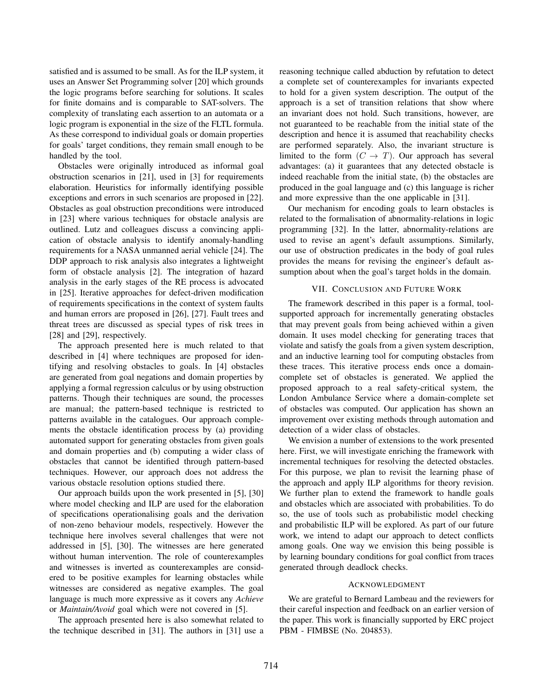satisfied and is assumed to be small. As for the ILP system, it uses an Answer Set Programming solver [20] which grounds the logic programs before searching for solutions. It scales for finite domains and is comparable to SAT-solvers. The complexity of translating each assertion to an automata or a logic program is exponential in the size of the FLTL formula. As these correspond to individual goals or domain properties for goals' target conditions, they remain small enough to be handled by the tool.

Obstacles were originally introduced as informal goal obstruction scenarios in [21], used in [3] for requirements elaboration. Heuristics for informally identifying possible exceptions and errors in such scenarios are proposed in [22]. Obstacles as goal obstruction preconditions were introduced in [23] where various techniques for obstacle analysis are outlined. Lutz and colleagues discuss a convincing application of obstacle analysis to identify anomaly-handling requirements for a NASA unmanned aerial vehicle [24]. The DDP approach to risk analysis also integrates a lightweight form of obstacle analysis [2]. The integration of hazard analysis in the early stages of the RE process is advocated in [25]. Iterative approaches for defect-driven modification of requirements specifications in the context of system faults and human errors are proposed in [26], [27]. Fault trees and threat trees are discussed as special types of risk trees in [28] and [29], respectively.

The approach presented here is much related to that described in [4] where techniques are proposed for identifying and resolving obstacles to goals. In [4] obstacles are generated from goal negations and domain properties by applying a formal regression calculus or by using obstruction patterns. Though their techniques are sound, the processes are manual; the pattern-based technique is restricted to patterns available in the catalogues. Our approach complements the obstacle identification process by (a) providing automated support for generating obstacles from given goals and domain properties and (b) computing a wider class of obstacles that cannot be identified through pattern-based techniques. However, our approach does not address the various obstacle resolution options studied there.

Our approach builds upon the work presented in [5], [30] where model checking and ILP are used for the elaboration of specifications operationalising goals and the derivation of non-zeno behaviour models, respectively. However the technique here involves several challenges that were not addressed in [5], [30]. The witnesses are here generated without human intervention. The role of counterexamples and witnesses is inverted as counterexamples are considered to be positive examples for learning obstacles while witnesses are considered as negative examples. The goal language is much more expressive as it covers any *Achieve* or *Maintain/Avoid* goal which were not covered in [5].

The approach presented here is also somewhat related to the technique described in [31]. The authors in [31] use a

reasoning technique called abduction by refutation to detect a complete set of counterexamples for invariants expected to hold for a given system description. The output of the approach is a set of transition relations that show where an invariant does not hold. Such transitions, however, are not guaranteed to be reachable from the initial state of the description and hence it is assumed that reachability checks are performed separately. Also, the invariant structure is limited to the form  $(C \to T)$ . Our approach has several advantages: (a) it guarantees that any detected obstacle is indeed reachable from the initial state, (b) the obstacles are produced in the goal language and (c) this language is richer and more expressive than the one applicable in [31].

Our mechanism for encoding goals to learn obstacles is related to the formalisation of abnormality-relations in logic programming [32]. In the latter, abnormality-relations are used to revise an agent's default assumptions. Similarly, our use of obstruction predicates in the body of goal rules provides the means for revising the engineer's default assumption about when the goal's target holds in the domain.

## VII. CONCLUSION AND FUTURE WORK

The framework described in this paper is a formal, toolsupported approach for incrementally generating obstacles that may prevent goals from being achieved within a given domain. It uses model checking for generating traces that violate and satisfy the goals from a given system description, and an inductive learning tool for computing obstacles from these traces. This iterative process ends once a domaincomplete set of obstacles is generated. We applied the proposed approach to a real safety-critical system, the London Ambulance Service where a domain-complete set of obstacles was computed. Our application has shown an improvement over existing methods through automation and detection of a wider class of obstacles.

We envision a number of extensions to the work presented here. First, we will investigate enriching the framework with incremental techniques for resolving the detected obstacles. For this purpose, we plan to revisit the learning phase of the approach and apply ILP algorithms for theory revision. We further plan to extend the framework to handle goals and obstacles which are associated with probabilities. To do so, the use of tools such as probabilistic model checking and probabilistic ILP will be explored. As part of our future work, we intend to adapt our approach to detect conflicts among goals. One way we envision this being possible is by learning boundary conditions for goal conflict from traces generated through deadlock checks.

## ACKNOWLEDGMENT

We are grateful to Bernard Lambeau and the reviewers for their careful inspection and feedback on an earlier version of the paper. This work is financially supported by ERC project PBM - FIMBSE (No. 204853).